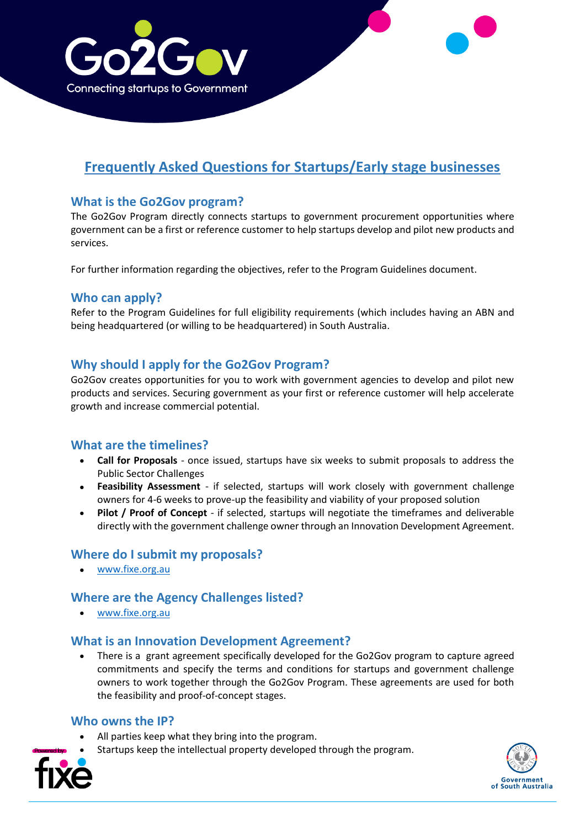

# **Frequently Asked Questions for Startups/Early stage businesses**

# **What is the Go2Gov program?**

The Go2Gov Program directly connects startups to government procurement opportunities where government can be a first or reference customer to help startups develop and pilot new products and services.

For further information regarding the objectives, refer to the Program Guidelines document.

#### **Who can apply?**

Refer to the Program Guidelines for full eligibility requirements (which includes having an ABN and being headquartered (or willing to be headquartered) in South Australia.

# **Why should I apply for the Go2Gov Program?**

Go2Gov creates opportunities for you to work with government agencies to develop and pilot new products and services. Securing government as your first or reference customer will help accelerate growth and increase commercial potential.

#### **What are the timelines?**

- **Call for Proposals** once issued, startups have six weeks to submit proposals to address the Public Sector Challenges
- **Feasibility Assessment** if selected, startups will work closely with government challenge owners for 4-6 weeks to prove-up the feasibility and viability of your proposed solution
- **Pilot / Proof of Concept** if selected, startups will negotiate the timeframes and deliverable directly with the government challenge owner through an Innovation Development Agreement.

#### **Where do I submit my proposals?**

• [www.fixe.org.au](http://www.fixe.org.au/)

#### **Where are the Agency Challenges listed?**

• [www.fixe.org.au](http://www.fixe.org.au/)

#### **What is an Innovation Development Agreement?**

• There is a grant agreement specifically developed for the Go2Gov program to capture agreed commitments and specify the terms and conditions for startups and government challenge owners to work together through the Go2Gov Program. These agreements are used for both the feasibility and proof-of-concept stages.

#### **Who owns the IP?**

- All parties keep what they bring into the program.
- Startups keep the intellectual property developed through the program.



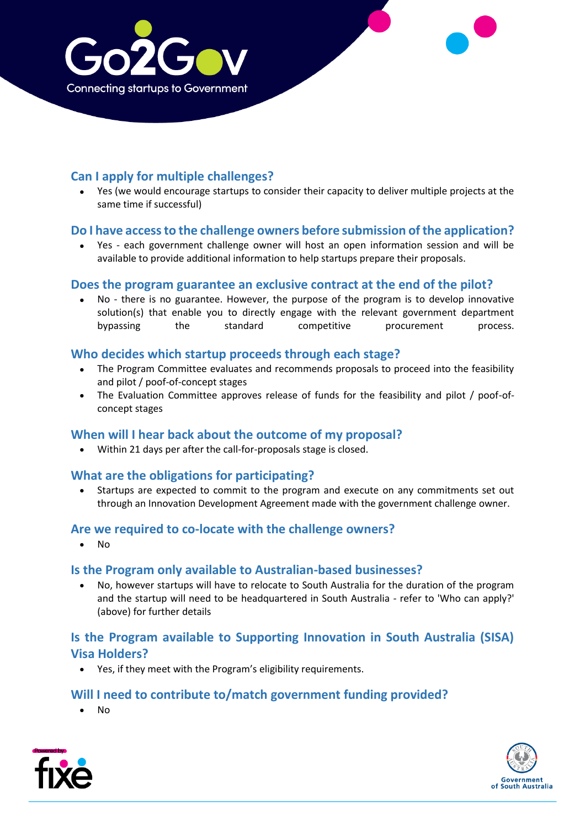

# **Can I apply for multiple challenges?**

• Yes (we would encourage startups to consider their capacity to deliver multiple projects at the same time if successful)

## **Do I have access to the challenge owners before submission of the application?**

• Yes - each government challenge owner will host an open information session and will be available to provide additional information to help startups prepare their proposals.

#### **Does the program guarantee an exclusive contract at the end of the pilot?**

• No - there is no guarantee. However, the purpose of the program is to develop innovative solution(s) that enable you to directly engage with the relevant government department bypassing the standard competitive procurement process.

#### **Who decides which startup proceeds through each stage?**

- The Program Committee evaluates and recommends proposals to proceed into the feasibility and pilot / poof-of-concept stages
- The Evaluation Committee approves release of funds for the feasibility and pilot / poof-ofconcept stages

#### **When will I hear back about the outcome of my proposal?**

• Within 21 days per after the call-for-proposals stage is closed.

#### **What are the obligations for participating?**

• Startups are expected to commit to the program and execute on any commitments set out through an Innovation Development Agreement made with the government challenge owner.

#### **Are we required to co-locate with the challenge owners?**

• No

#### **Is the Program only available to Australian-based businesses?**

• No, however startups will have to relocate to South Australia for the duration of the program and the startup will need to be headquartered in South Australia - refer to 'Who can apply?' (above) for further details

# **Is the Program available to Supporting Innovation in South Australia (SISA) Visa Holders?**

• Yes, if they meet with the Program's eligibility requirements.

#### **Will I need to contribute to/match government funding provided?**

• No



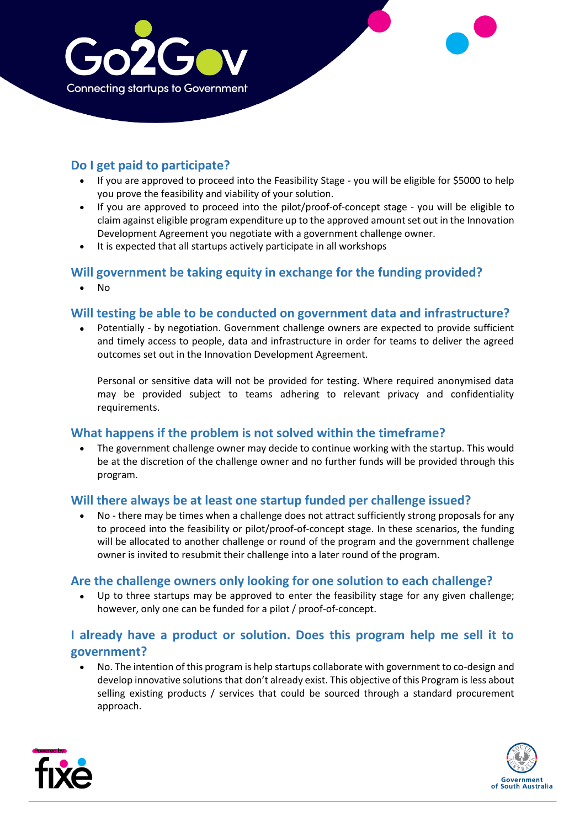

# **Do I get paid to participate?**

- If you are approved to proceed into the Feasibility Stage you will be eligible for \$5000 to help you prove the feasibility and viability of your solution.
- If you are approved to proceed into the pilot/proof-of-concept stage you will be eligible to claim against eligible program expenditure up to the approved amount set out in the Innovation Development Agreement you negotiate with a government challenge owner.
- It is expected that all startups actively participate in all workshops

#### **Will government be taking equity in exchange for the funding provided?**

• No

## **Will testing be able to be conducted on government data and infrastructure?**

• Potentially - by negotiation. Government challenge owners are expected to provide sufficient and timely access to people, data and infrastructure in order for teams to deliver the agreed outcomes set out in the Innovation Development Agreement.

Personal or sensitive data will not be provided for testing. Where required anonymised data may be provided subject to teams adhering to relevant privacy and confidentiality requirements.

#### **What happens if the problem is not solved within the timeframe?**

• The government challenge owner may decide to continue working with the startup. This would be at the discretion of the challenge owner and no further funds will be provided through this program.

#### **Will there always be at least one startup funded per challenge issued?**

• No - there may be times when a challenge does not attract sufficiently strong proposals for any to proceed into the feasibility or pilot/proof-of-concept stage. In these scenarios, the funding will be allocated to another challenge or round of the program and the government challenge owner is invited to resubmit their challenge into a later round of the program.

# **Are the challenge owners only looking for one solution to each challenge?**

Up to three startups may be approved to enter the feasibility stage for any given challenge; however, only one can be funded for a pilot / proof-of-concept.

# **I already have a product or solution. Does this program help me sell it to government?**

• No. The intention of this program is help startups collaborate with government to co-design and develop innovative solutions that don't already exist. This objective of this Program is less about selling existing products / services that could be sourced through a standard procurement approach.